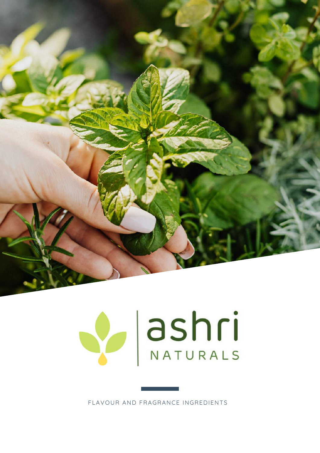



FLAVOUR AND FRAGRANCE INGREDIENTS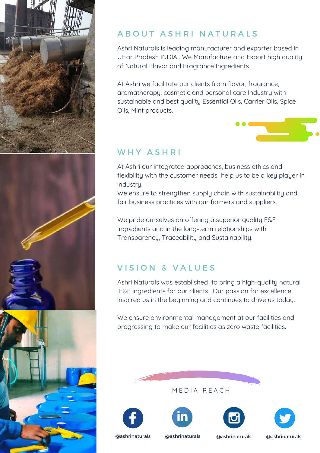

#### A B O U T A S H R I N A T U R A L S

Ashri Naturals is leading manufacturer and exporter based in Uttar Pradesh INDIA . We Manufacture and Export high quality of Natural Flavor and Fragrance Ingredients

At Ashri we facilitate our clients from flavor, fragrance, aromatherapy, cosmetic and personal care Industry with sustainable and best quality Essential Oils, Carrier Oils, Spice Oils, Mint products.

#### WHY ASHRI

At Ashri our integrated approaches, business ethics and flexibility with the customer needs help us to be a key player in industry.

We ensure to strengthen supply chain with sustainability and fair business practices with our farmers and suppliers.

We pride ourselves on offering a superior quality F&F Ingredients and in the long-term relationships with Transparency, Traceability and Sustainability.

### VISION & VALUES

Ashri Naturals was established to bring a high-quality natural F&F ingredients for our clients . Our passion for excellence inspired us in the beginning and continues to drive us today.

We ensure environmental management at our facilities and progressing to make our facilities as zero waste facilities.











@ashrinaturals @ashrinaturals @ashrinaturals @ashrinaturals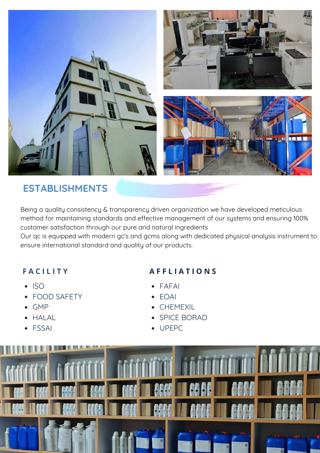

## **ESTABLISHMENTS**

Being a quality consistency & transparency driven organization we have developed meticulous method for maintaining standards and effective management of our systems and ensuring 100% customer satisfaction through our pure and natural ingredients

Our qc is equipped with modern gc's and gcms along with dedicated physical analysis instrument to ensure international standard and quality of our products.

#### **F A C I L I T Y**

- $\cdot$  ISO
- FOOD SAFETY
- GMP
- HALAL
- FSSAI

#### **A F F L I A T I O N S**

- FAFAI
- EOAI
- CHEMEXIL
- SPICE BORAD
- UPEPC

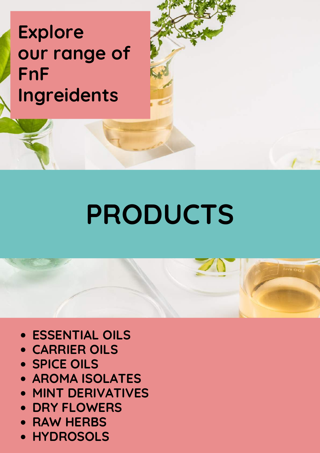# **Explore our range of FnF Ingreidents**

# **PRODUCTS**

- **ESSENTIAL OILS**
- **CARRIER OILS**
- **SPICE OILS**
- **AROMA ISOLATES**
- **MINT DERIVATIVES**
- **DRY FLOWERS**
- **RAW HERBS**
- **HYDROSOLS**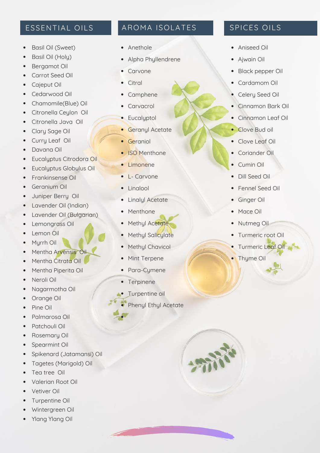#### ESSENTIAL OILS

- Basil Oil (Sweet)
- Basil Oil (Holy)  $\bullet$
- Bergamot Oil
- Carrot Seed Oil  $\bullet$
- Cajeput Oil
- Cedarwood Oil  $\bullet$
- Chamomile(Blue) Oil
- Citronella Ceylon Oil  $\bullet$
- Citronella Java Oil  $\bullet$
- Clary Sage Oil  $\bullet$
- Curry Leaf Oil
- Davana Oil  $\bullet$
- Eucalyptus Citrodora Oil  $\bullet$
- Eucalyptus Globulus Oil  $\bullet$
- Frankinsense Oil  $\bullet$
- Geranium Oil
- $\bullet$ Juniper Berry Oil
- Lavender Oil (Indian)
- $\bullet$ Lavender Oil (Bulgarian)
- Lemongrass Oil  $\bullet$
- Lemon Oil  $\bullet$
- Myrrh Oil  $\bullet$
- Mentha Arvensis Oil  $\bullet$
- Mentha Citrata Oil
- Mentha Piperita Oil
- Neroli Oil  $\bullet$
- Nagarmotha Oil  $\bullet$
- Orange Oil  $\bullet$
- Pine Oil
- Palmarosa Oil  $\bullet$
- Patchouli Oil
- $\bullet$ Rosemary Oil
- Spearmint Oil  $\bullet$
- Spikenard (Jatamansi) Oil  $\bullet$
- Tagetes (Marigold) Oil  $\bullet$
- Tea tree Oil  $\bullet$
- Valerian Root Oil
- Vetiver Oil
- Turpentine Oil
- Wintergreen Oil
- Ylang Ylang Oil

#### AROMA ISOLATES

- Anethole
- Alpha Phyllendrene
- Carvone  $\bullet$
- $\bullet$ **Citral**
- Camphene  $\bullet$
- Carvacrol  $\bullet$
- Eucalyptol
- **Geranyl Acetate**
- **•** Geraniol
- ISO Menthone
- Limonene
- L- Carvone
- Linalool
- Linalyl Acetate
- Menthone
- Methyl Acetate
- Methyl Salicylate
- Methyl Chavicol
- Mint Terpene
- Para-Cymene
- Terpinene
- **•** Turpentine oil
- Phenyl Ethyl Acetate

#### SPICES OILS

- Aniseed Oil
- Ajwain Oil
- Black pepper Oil  $\bullet$
- Cardamom Oil
- Celery Seed Oil
- Cinnamon Bark Oil
- Cinnamon Leaf Oil
- Clove Bud oil
- Clove Leaf Oil
- Coriander Oil
- $\bullet$ Cumin Oil
- Dill Seed Oil
- Fennel Seed Oil
- Ginger Oil
- Mace Oil
- Nutmeg Oil
- Turmeric root Oil
- **•** Turmeric Leaf Oil
- **Thyme Oil**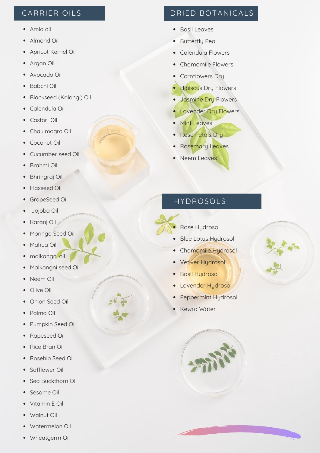#### CARRIER OILS

- Amla oil
- Almond Oil
- Apricot Kernel Oil  $\bullet$
- Argan Oil  $\bullet$
- Avocado Oil  $\bullet$
- Babchi Oil
- Blackseed (Kalongi) Oil  $\bullet$
- Calendula Oil
- Castor Oil  $\bullet$
- Chaulmogra Oil
- Coconut Oil  $\bullet$
- Cucumber seed Oil
- Brahmi Oil  $\bullet$
- Bhringraj Oil
- Flaxseed Oil  $\bullet$
- GrapeSeed Oil
- Jojoba Oil
- Karanj Oil  $\bullet$
- Moringa Seed Oil  $\bullet$
- Mahua Oil  $\bullet$
- malkangni oil  $\bullet$
- Malkangni seed Oil  $\bullet$
- Neem Oil  $\bullet$
- Olive Oil  $\bullet$
- Onion Seed Oil  $\bullet$
- Palma Oil
- Pumpkin Seed Oil  $\bullet$
- Rapeseed Oil  $\bullet$
- Rice Bran Oil  $\bullet$
- Rosehip Seed Oil  $\bullet$
- Safflower Oil
- Sea Buckthorn Oil
- Sesame Oil
- Vitamin E Oil
- Walnut Oil
- Watermelon Oil
- Wheatgerm Oil

#### DRIED BOTANICALS

- Basil Leaves
- Butterfly Pea
- Calendula Flowers  $\bullet$
- Chamomile Flowers
- Cornflowers Dry  $\bullet$
- Hibiscus Dry Flowers
- Jasmine Dry Flowers  $\bullet$
- Lavender Dry Flowers
- Mint Leaves  $\bullet$
- Rose Petals Dry
- Rosemary Leaves
- Neem Leaves

#### HYDROSOLS

- Rose Hydrosol
- Blue Lotus Hydrosol
- Chamomile Hydrosol
- Vetiver Hydrosol
- Basil Hydrosol
- Lavender Hydrosol
- Peppermint Hydrosol
- Kewra Water



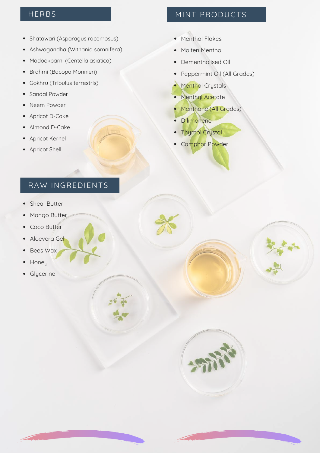- Shatawari (Asparagus racemosus)
- Ashwagandha (Withania somnifera)
- Madookparni (Centella asiatica)
- Brahmi (Bacopa Monnieri)
- Gokhru (Tribulus terrestris)
- Sandal Powder
- Neem Powder
- Apricot D-Cake
- Almond D-Cake
- Apricot Kernel
- Apricot Shell

#### RAW INGREDIENTS

- Shea Butter  $\bullet$
- Mango Butter  $\bullet$
- Coco Butter  $\bullet$
- Aloevera Gel  $\bullet$
- Bees Wax  $\bullet$
- Honey  $\bullet$
- Glycerine

#### HERBS MINT PRODUCTS

- Menthol Flakes
- Molten Menthol
- Dementholised Oil
- Peppermint Oil (All Grades)
- Menthol Crystals
- Menthyl Acetate
- **Menthone (All Grades)**
- · **D** limonene
- Thymol Crystal
- Camphor Powder